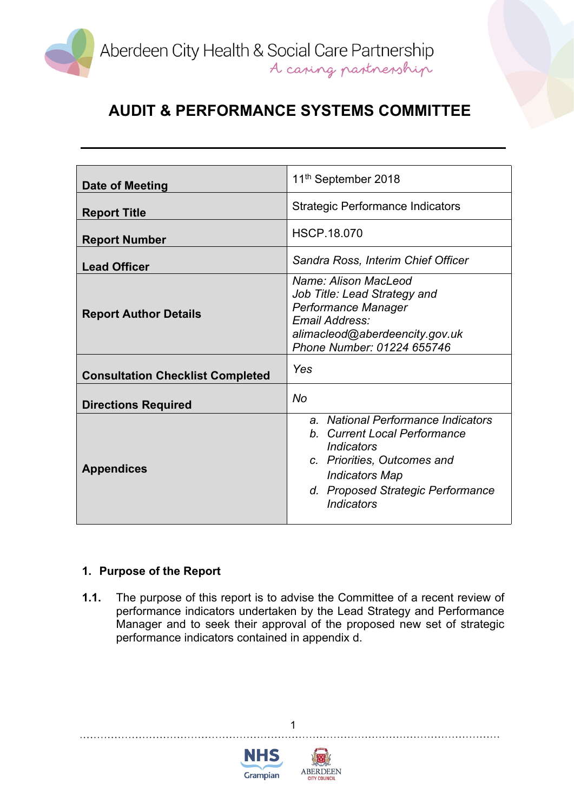

| Date of Meeting                         | 11 <sup>th</sup> September 2018                                                                                                                                                                                  |
|-----------------------------------------|------------------------------------------------------------------------------------------------------------------------------------------------------------------------------------------------------------------|
| <b>Report Title</b>                     | <b>Strategic Performance Indicators</b>                                                                                                                                                                          |
| <b>Report Number</b>                    | <b>HSCP.18.070</b>                                                                                                                                                                                               |
| <b>Lead Officer</b>                     | Sandra Ross, Interim Chief Officer                                                                                                                                                                               |
| <b>Report Author Details</b>            | Name: Alison MacLeod<br>Job Title: Lead Strategy and<br>Performance Manager<br>Email Address:<br>alimacleod@aberdeencity.gov.uk<br>Phone Number: 01224 655746                                                    |
| <b>Consultation Checklist Completed</b> | Yes                                                                                                                                                                                                              |
| <b>Directions Required</b>              | <b>No</b>                                                                                                                                                                                                        |
| <b>Appendices</b>                       | a. National Performance Indicators<br>b. Current Local Performance<br><i><b>Indicators</b></i><br>c. Priorities, Outcomes and<br><b>Indicators Map</b><br>d. Proposed Strategic Performance<br><b>Indicators</b> |

## **1. Purpose of the Report**

**1.1.** The purpose of this report is to advise the Committee of a recent review of performance indicators undertaken by the Lead Strategy and Performance Manager and to seek their approval of the proposed new set of strategic performance indicators contained in appendix d.

1



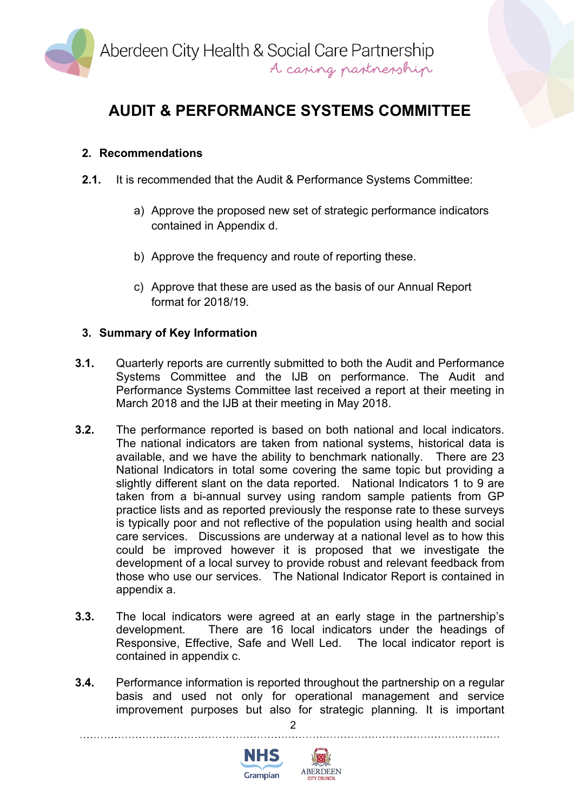

### **2. Recommendations**

- **2.1.** It is recommended that the Audit & Performance Systems Committee:
	- a) Approve the proposed new set of strategic performance indicators contained in Appendix d.
	- b) Approve the frequency and route of reporting these.
	- c) Approve that these are used as the basis of our Annual Report format for 2018/19.

### **3. Summary of Key Information**

- **3.1.** Quarterly reports are currently submitted to both the Audit and Performance Systems Committee and the IJB on performance. The Audit and Performance Systems Committee last received a report at their meeting in March 2018 and the IJB at their meeting in May 2018.
- **3.2.** The performance reported is based on both national and local indicators. The national indicators are taken from national systems, historical data is available, and we have the ability to benchmark nationally. There are 23 National Indicators in total some covering the same topic but providing a slightly different slant on the data reported. National Indicators 1 to 9 are taken from a bi-annual survey using random sample patients from GP practice lists and as reported previously the response rate to these surveys is typically poor and not reflective of the population using health and social care services. Discussions are underway at a national level as to how this could be improved however it is proposed that we investigate the development of a local survey to provide robust and relevant feedback from those who use our services. The National Indicator Report is contained in appendix a.
- **3.3.** The local indicators were agreed at an early stage in the partnership's development*.* There are 16 local indicators under the headings of Responsive, Effective, Safe and Well Led. The local indicator report is contained in appendix c.
- **3.4.** Performance information is reported throughout the partnership on a regular basis and used not only for operational management and service improvement purposes but also for strategic planning*.* It is important

 $\mathfrak{p}$ 



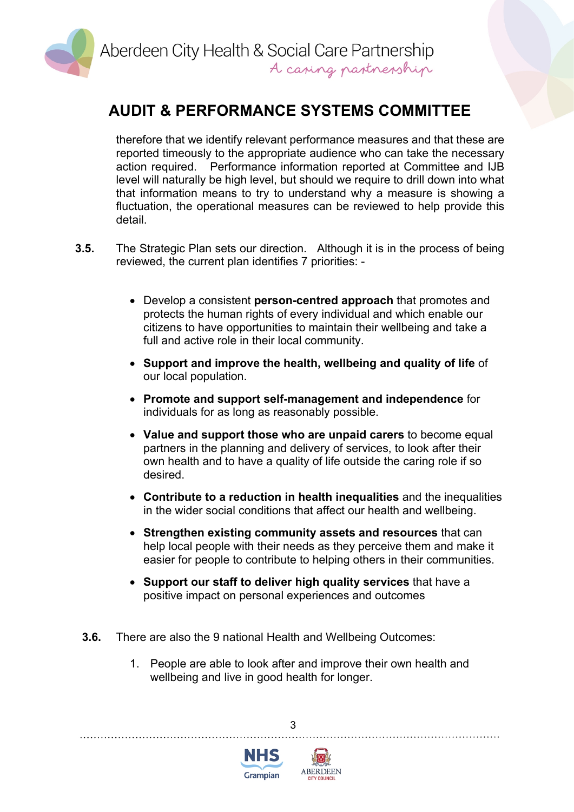

therefore that we identify relevant performance measures and that these are reported timeously to the appropriate audience who can take the necessary action required. Performance information reported at Committee and IJB level will naturally be high level, but should we require to drill down into what that information means to try to understand why a measure is showing a fluctuation, the operational measures can be reviewed to help provide this detail.

- **3.5.** The Strategic Plan sets our direction. Although it is in the process of being reviewed, the current plan identifies 7 priorities: -
	- Develop a consistent **person-centred approach** that promotes and protects the human rights of every individual and which enable our citizens to have opportunities to maintain their wellbeing and take a full and active role in their local community.
	- **Support and improve the health, wellbeing and quality of life** of our local population.
	- **Promote and support self-management and independence** for individuals for as long as reasonably possible.
	- **Value and support those who are unpaid carers** to become equal partners in the planning and delivery of services, to look after their own health and to have a quality of life outside the caring role if so desired.
	- **Contribute to a reduction in health inequalities** and the inequalities in the wider social conditions that affect our health and wellbeing.
	- **Strengthen existing community assets and resources** that can help local people with their needs as they perceive them and make it easier for people to contribute to helping others in their communities.
	- **Support our staff to deliver high quality services** that have a positive impact on personal experiences and outcomes
	- **3.6.** There are also the 9 national Health and Wellbeing Outcomes:
		- 1. People are able to look after and improve their own health and wellbeing and live in good health for longer.

3



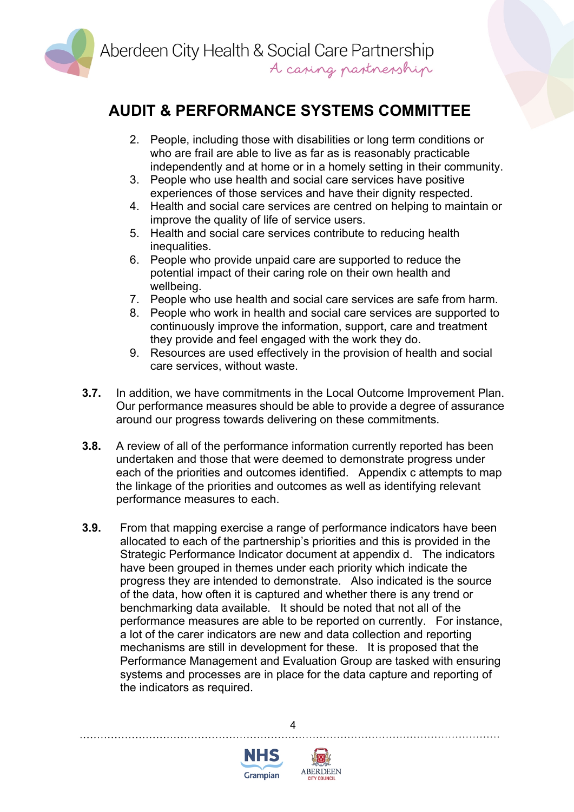

- 2. People, including those with disabilities or long term conditions or who are frail are able to live as far as is reasonably practicable independently and at home or in a homely setting in their community.
- 3. People who use health and social care services have positive experiences of those services and have their dignity respected.
- 4. Health and social care services are centred on helping to maintain or improve the quality of life of service users.
- 5. Health and social care services contribute to reducing health inequalities.
- 6. People who provide unpaid care are supported to reduce the potential impact of their caring role on their own health and wellbeing.
- 7. People who use health and social care services are safe from harm.
- 8. People who work in health and social care services are supported to continuously improve the information, support, care and treatment they provide and feel engaged with the work they do.
- 9. Resources are used effectively in the provision of health and social care services, without waste.
- **3.7.** In addition, we have commitments in the Local Outcome Improvement Plan. Our performance measures should be able to provide a degree of assurance around our progress towards delivering on these commitments.
- **3.8.** A review of all of the performance information currently reported has been undertaken and those that were deemed to demonstrate progress under each of the priorities and outcomes identified. Appendix c attempts to map the linkage of the priorities and outcomes as well as identifying relevant performance measures to each.
- **3.9.** From that mapping exercise a range of performance indicators have been allocated to each of the partnership's priorities and this is provided in the Strategic Performance Indicator document at appendix d. The indicators have been grouped in themes under each priority which indicate the progress they are intended to demonstrate. Also indicated is the source of the data, how often it is captured and whether there is any trend or benchmarking data available. It should be noted that not all of the performance measures are able to be reported on currently. For instance, a lot of the carer indicators are new and data collection and reporting mechanisms are still in development for these. It is proposed that the Performance Management and Evaluation Group are tasked with ensuring systems and processes are in place for the data capture and reporting of the indicators as required.

4



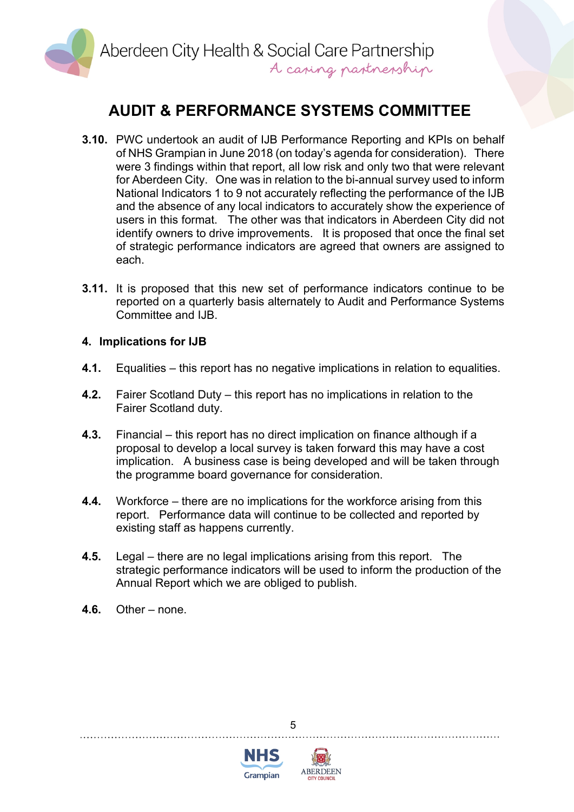

- **3.10.** PWC undertook an audit of IJB Performance Reporting and KPIs on behalf of NHS Grampian in June 2018 (on today's agenda for consideration). There were 3 findings within that report, all low risk and only two that were relevant for Aberdeen City. One was in relation to the bi-annual survey used to inform National Indicators 1 to 9 not accurately reflecting the performance of the IJB and the absence of any local indicators to accurately show the experience of users in this format. The other was that indicators in Aberdeen City did not identify owners to drive improvements. It is proposed that once the final set of strategic performance indicators are agreed that owners are assigned to each.
- **3.11.** It is proposed that this new set of performance indicators continue to be reported on a quarterly basis alternately to Audit and Performance Systems Committee and IJB.

#### **4. Implications for IJB**

- **4.1.** Equalities this report has no negative implications in relation to equalities.
- **4.2.** Fairer Scotland Duty this report has no implications in relation to the Fairer Scotland duty.
- **4.3.** Financial this report has no direct implication on finance although if a proposal to develop a local survey is taken forward this may have a cost implication. A business case is being developed and will be taken through the programme board governance for consideration.
- **4.4.** Workforce there are no implications for the workforce arising from this report. Performance data will continue to be collected and reported by existing staff as happens currently.
- **4.5.** Legal there are no legal implications arising from this report. The strategic performance indicators will be used to inform the production of the Annual Report which we are obliged to publish.

5

**4.6.** Other – none.